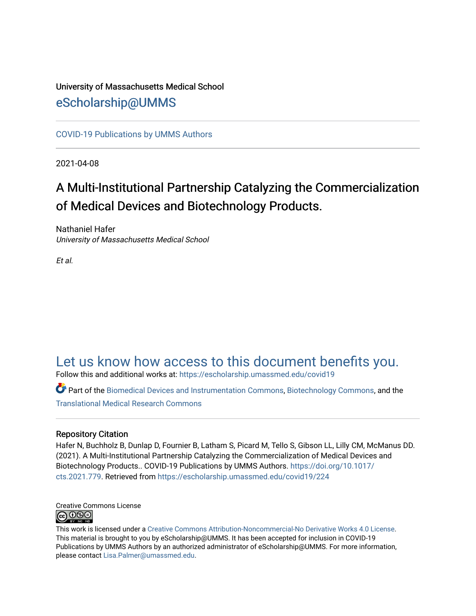## University of Massachusetts Medical School [eScholarship@UMMS](https://escholarship.umassmed.edu/)

[COVID-19 Publications by UMMS Authors](https://escholarship.umassmed.edu/covid19)

2021-04-08

# A Multi-Institutional Partnership Catalyzing the Commercialization of Medical Devices and Biotechnology Products.

Nathaniel Hafer University of Massachusetts Medical School

Et al.

## [Let us know how access to this document benefits you.](https://arcsapps.umassmed.edu/redcap/surveys/?s=XWRHNF9EJE)

Follow this and additional works at: [https://escholarship.umassmed.edu/covid19](https://escholarship.umassmed.edu/covid19?utm_source=escholarship.umassmed.edu%2Fcovid19%2F224&utm_medium=PDF&utm_campaign=PDFCoverPages) 

Part of the [Biomedical Devices and Instrumentation Commons,](http://network.bepress.com/hgg/discipline/235?utm_source=escholarship.umassmed.edu%2Fcovid19%2F224&utm_medium=PDF&utm_campaign=PDFCoverPages) [Biotechnology Commons](http://network.bepress.com/hgg/discipline/111?utm_source=escholarship.umassmed.edu%2Fcovid19%2F224&utm_medium=PDF&utm_campaign=PDFCoverPages), and the [Translational Medical Research Commons](http://network.bepress.com/hgg/discipline/1124?utm_source=escholarship.umassmed.edu%2Fcovid19%2F224&utm_medium=PDF&utm_campaign=PDFCoverPages) 

#### Repository Citation

Hafer N, Buchholz B, Dunlap D, Fournier B, Latham S, Picard M, Tello S, Gibson LL, Lilly CM, McManus DD. (2021). A Multi-Institutional Partnership Catalyzing the Commercialization of Medical Devices and Biotechnology Products.. COVID-19 Publications by UMMS Authors. [https://doi.org/10.1017/](https://doi.org/10.1017/cts.2021.779) [cts.2021.779](https://doi.org/10.1017/cts.2021.779). Retrieved from [https://escholarship.umassmed.edu/covid19/224](https://escholarship.umassmed.edu/covid19/224?utm_source=escholarship.umassmed.edu%2Fcovid19%2F224&utm_medium=PDF&utm_campaign=PDFCoverPages) 



This work is licensed under a [Creative Commons Attribution-Noncommercial-No Derivative Works 4.0 License.](http://creativecommons.org/licenses/by-nc-nd/4.0/) This material is brought to you by eScholarship@UMMS. It has been accepted for inclusion in COVID-19 Publications by UMMS Authors by an authorized administrator of eScholarship@UMMS. For more information, please contact [Lisa.Palmer@umassmed.edu](mailto:Lisa.Palmer@umassmed.edu).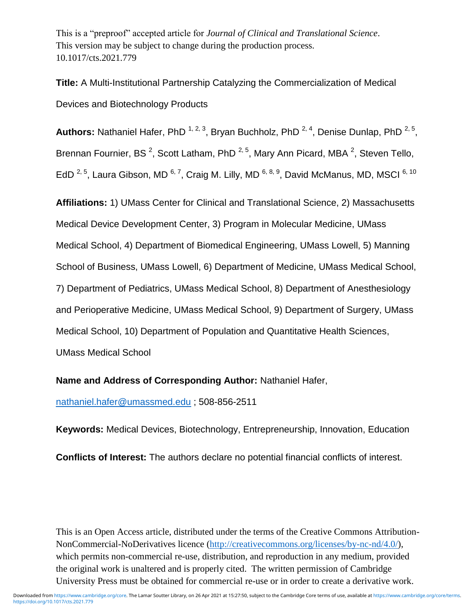This is a "preproof" accepted article for *Journal of Clinical and Translational Science*. This version may be subject to change during the production process. 10.1017/cts.2021.779

**Title:** A Multi-Institutional Partnership Catalyzing the Commercialization of Medical Devices and Biotechnology Products

Authors: Nathaniel Hafer, PhD<sup>1,2,3</sup>, Bryan Buchholz, PhD<sup>2,4</sup>, Denise Dunlap, PhD<sup>2,5</sup>, Brennan Fournier, BS<sup>2</sup>, Scott Latham, PhD<sup>2,5</sup>, Mary Ann Picard, MBA<sup>2</sup>, Steven Tello, EdD <sup>2, 5</sup>, Laura Gibson, MD <sup>6, 7</sup>, Craig M. Lilly, MD <sup>6, 8, 9</sup>, David McManus, MD, MSCI <sup>6, 10</sup>

**Affiliations:** 1) UMass Center for Clinical and Translational Science, 2) Massachusetts Medical Device Development Center, 3) Program in Molecular Medicine, UMass Medical School, 4) Department of Biomedical Engineering, UMass Lowell, 5) Manning School of Business, UMass Lowell, 6) Department of Medicine, UMass Medical School, 7) Department of Pediatrics, UMass Medical School, 8) Department of Anesthesiology and Perioperative Medicine, UMass Medical School, 9) Department of Surgery, UMass Medical School, 10) Department of Population and Quantitative Health Sciences, UMass Medical School

**Name and Address of Corresponding Author:** Nathaniel Hafer,

[nathaniel.hafer@umassmed.edu](mailto:nathaniel.hafer@umassmed.edu) ; 508-856-2511

**Keywords:** Medical Devices, Biotechnology, Entrepreneurship, Innovation, Education

**Conflicts of Interest:** The authors declare no potential financial conflicts of interest.

This is an Open Access article, distributed under the terms of the Creative Commons Attribution-NonCommercial-NoDerivatives licence (http://creativecommons.org/licenses/by-nc-nd/4.0/), which permits non-commercial re-use, distribution, and reproduction in any medium, provided the original work is unaltered and is properly cited. The written permission of Cambridge University Press must be obtained for commercial re-use or in order to create a derivative work.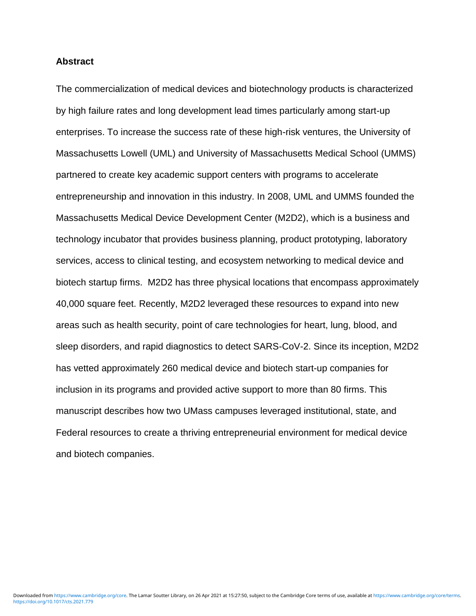#### **Abstract**

The commercialization of medical devices and biotechnology products is characterized by high failure rates and long development lead times particularly among start-up enterprises. To increase the success rate of these high-risk ventures, the University of Massachusetts Lowell (UML) and University of Massachusetts Medical School (UMMS) partnered to create key academic support centers with programs to accelerate entrepreneurship and innovation in this industry. In 2008, UML and UMMS founded the Massachusetts Medical Device Development Center (M2D2), which is a business and technology incubator that provides business planning, product prototyping, laboratory services, access to clinical testing, and ecosystem networking to medical device and biotech startup firms. M2D2 has three physical locations that encompass approximately 40,000 square feet. Recently, M2D2 leveraged these resources to expand into new areas such as health security, point of care technologies for heart, lung, blood, and sleep disorders, and rapid diagnostics to detect SARS-CoV-2. Since its inception, M2D2 has vetted approximately 260 medical device and biotech start-up companies for inclusion in its programs and provided active support to more than 80 firms. This manuscript describes how two UMass campuses leveraged institutional, state, and Federal resources to create a thriving entrepreneurial environment for medical device and biotech companies.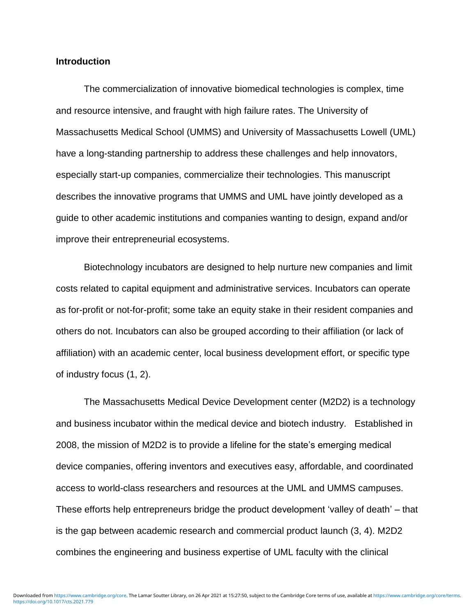#### **Introduction**

The commercialization of innovative biomedical technologies is complex, time and resource intensive, and fraught with high failure rates. The University of Massachusetts Medical School (UMMS) and University of Massachusetts Lowell (UML) have a long-standing partnership to address these challenges and help innovators, especially start-up companies, commercialize their technologies. This manuscript describes the innovative programs that UMMS and UML have jointly developed as a guide to other academic institutions and companies wanting to design, expand and/or improve their entrepreneurial ecosystems.

Biotechnology incubators are designed to help nurture new companies and limit costs related to capital equipment and administrative services. Incubators can operate as for-profit or not-for-profit; some take an equity stake in their resident companies and others do not. Incubators can also be grouped according to their affiliation (or lack of affiliation) with an academic center, local business development effort, or specific type of industry focus (1, 2).

The Massachusetts Medical Device Development center (M2D2) is a technology and business incubator within the medical device and biotech industry. Established in 2008, the mission of M2D2 is to provide a lifeline for the state's emerging medical device companies, offering inventors and executives easy, affordable, and coordinated access to world-class researchers and resources at the UML and UMMS campuses. These efforts help entrepreneurs bridge the product development 'valley of death' – that is the gap between academic research and commercial product launch (3, 4). M2D2 combines the engineering and business expertise of UML faculty with the clinical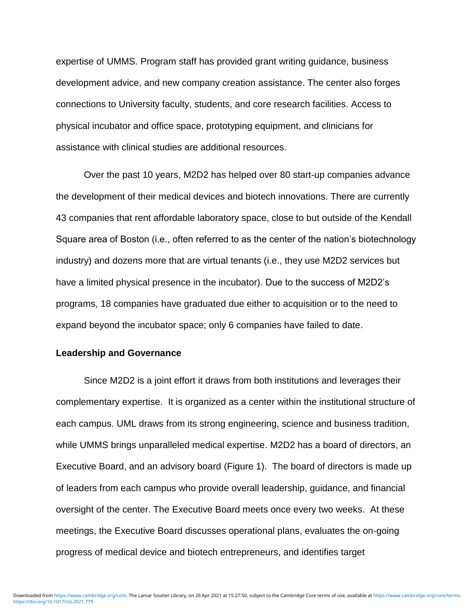expertise of UMMS. Program staff has provided grant writing guidance, business development advice, and new company creation assistance. The center also forges connections to University faculty, students, and core research facilities. Access to physical incubator and office space, prototyping equipment, and clinicians for assistance with clinical studies are additional resources.

Over the past 10 years, M2D2 has helped over 80 start-up companies advance the development of their medical devices and biotech innovations. There are currently 43 companies that rent affordable laboratory space, close to but outside of the Kendall Square area of Boston (i.e., often referred to as the center of the nation's biotechnology industry) and dozens more that are virtual tenants (i.e., they use M2D2 services but have a limited physical presence in the incubator). Due to the success of M2D2's programs, 18 companies have graduated due either to acquisition or to the need to expand beyond the incubator space; only 6 companies have failed to date.

#### **Leadership and Governance**

Since M2D2 is a joint effort it draws from both institutions and leverages their complementary expertise. It is organized as a center within the institutional structure of each campus. UML draws from its strong engineering, science and business tradition, while UMMS brings unparalleled medical expertise. M2D2 has a board of directors, an Executive Board, and an advisory board (Figure 1). The board of directors is made up of leaders from each campus who provide overall leadership, guidance, and financial oversight of the center. The Executive Board meets once every two weeks. At these meetings, the Executive Board discusses operational plans, evaluates the on-going progress of medical device and biotech entrepreneurs, and identifies target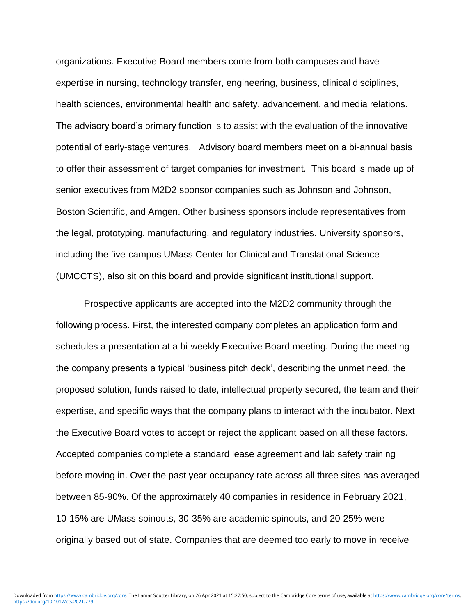organizations. Executive Board members come from both campuses and have expertise in nursing, technology transfer, engineering, business, clinical disciplines, health sciences, environmental health and safety, advancement, and media relations. The advisory board's primary function is to assist with the evaluation of the innovative potential of early-stage ventures. Advisory board members meet on a bi-annual basis to offer their assessment of target companies for investment. This board is made up of senior executives from M2D2 sponsor companies such as Johnson and Johnson, Boston Scientific, and Amgen. Other business sponsors include representatives from the legal, prototyping, manufacturing, and regulatory industries. University sponsors, including the five-campus UMass Center for Clinical and Translational Science (UMCCTS), also sit on this board and provide significant institutional support.

Prospective applicants are accepted into the M2D2 community through the following process. First, the interested company completes an application form and schedules a presentation at a bi-weekly Executive Board meeting. During the meeting the company presents a typical 'business pitch deck', describing the unmet need, the proposed solution, funds raised to date, intellectual property secured, the team and their expertise, and specific ways that the company plans to interact with the incubator. Next the Executive Board votes to accept or reject the applicant based on all these factors. Accepted companies complete a standard lease agreement and lab safety training before moving in. Over the past year occupancy rate across all three sites has averaged between 85-90%. Of the approximately 40 companies in residence in February 2021, 10-15% are UMass spinouts, 30-35% are academic spinouts, and 20-25% were originally based out of state. Companies that are deemed too early to move in receive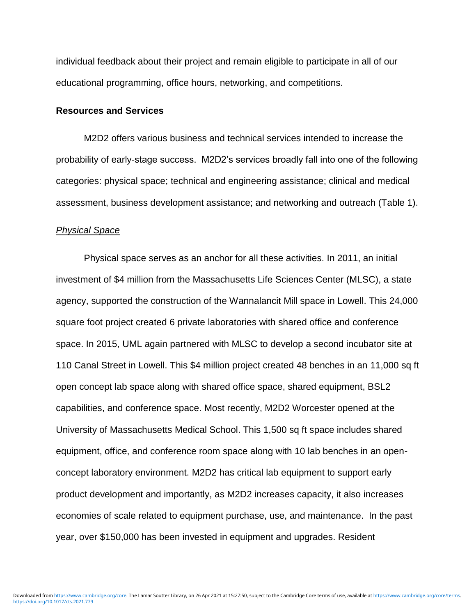individual feedback about their project and remain eligible to participate in all of our educational programming, office hours, networking, and competitions.

#### **Resources and Services**

M2D2 offers various business and technical services intended to increase the probability of early-stage success. M2D2's services broadly fall into one of the following categories: physical space; technical and engineering assistance; clinical and medical assessment, business development assistance; and networking and outreach (Table 1).

#### *Physical Space*

Physical space serves as an anchor for all these activities. In 2011, an initial investment of \$4 million from the Massachusetts Life Sciences Center (MLSC), a state agency, supported the construction of the Wannalancit Mill space in Lowell. This 24,000 square foot project created 6 private laboratories with shared office and conference space. In 2015, UML again partnered with MLSC to develop a second incubator site at 110 Canal Street in Lowell. This \$4 million project created 48 benches in an 11,000 sq ft open concept lab space along with shared office space, shared equipment, BSL2 capabilities, and conference space. Most recently, M2D2 Worcester opened at the University of Massachusetts Medical School. This 1,500 sq ft space includes shared equipment, office, and conference room space along with 10 lab benches in an openconcept laboratory environment. M2D2 has critical lab equipment to support early product development and importantly, as M2D2 increases capacity, it also increases economies of scale related to equipment purchase, use, and maintenance. In the past year, over \$150,000 has been invested in equipment and upgrades. Resident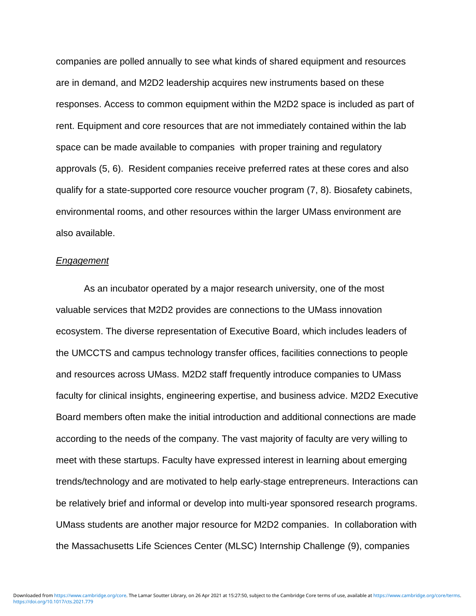companies are polled annually to see what kinds of shared equipment and resources are in demand, and M2D2 leadership acquires new instruments based on these responses. Access to common equipment within the M2D2 space is included as part of rent. Equipment and core resources that are not immediately contained within the lab space can be made available to companies with proper training and regulatory approvals (5, 6). Resident companies receive preferred rates at these cores and also qualify for a state-supported core resource voucher program (7, 8). Biosafety cabinets, environmental rooms, and other resources within the larger UMass environment are also available.

#### *Engagement*

As an incubator operated by a major research university, one of the most valuable services that M2D2 provides are connections to the UMass innovation ecosystem. The diverse representation of Executive Board, which includes leaders of the UMCCTS and campus technology transfer offices, facilities connections to people and resources across UMass. M2D2 staff frequently introduce companies to UMass faculty for clinical insights, engineering expertise, and business advice. M2D2 Executive Board members often make the initial introduction and additional connections are made according to the needs of the company. The vast majority of faculty are very willing to meet with these startups. Faculty have expressed interest in learning about emerging trends/technology and are motivated to help early-stage entrepreneurs. Interactions can be relatively brief and informal or develop into multi-year sponsored research programs. UMass students are another major resource for M2D2 companies. In collaboration with the Massachusetts Life Sciences Center (MLSC) Internship Challenge (9), companies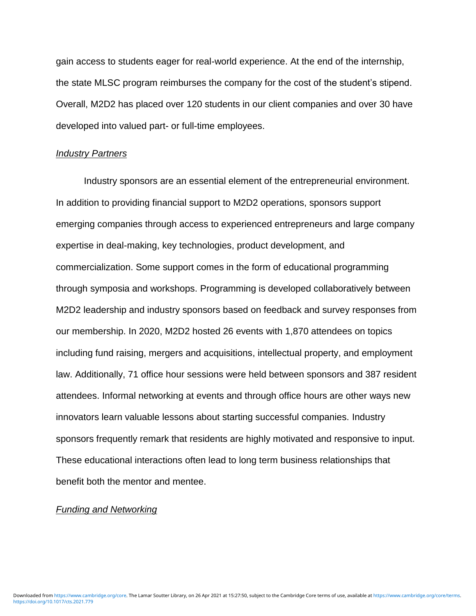gain access to students eager for real-world experience. At the end of the internship, the state MLSC program reimburses the company for the cost of the student's stipend. Overall, M2D2 has placed over 120 students in our client companies and over 30 have developed into valued part- or full-time employees.

#### *Industry Partners*

Industry sponsors are an essential element of the entrepreneurial environment. In addition to providing financial support to M2D2 operations, sponsors support emerging companies through access to experienced entrepreneurs and large company expertise in deal-making, key technologies, product development, and commercialization. Some support comes in the form of educational programming through symposia and workshops. Programming is developed collaboratively between M2D2 leadership and industry sponsors based on feedback and survey responses from our membership. In 2020, M2D2 hosted 26 events with 1,870 attendees on topics including fund raising, mergers and acquisitions, intellectual property, and employment law. Additionally, 71 office hour sessions were held between sponsors and 387 resident attendees. Informal networking at events and through office hours are other ways new innovators learn valuable lessons about starting successful companies. Industry sponsors frequently remark that residents are highly motivated and responsive to input. These educational interactions often lead to long term business relationships that benefit both the mentor and mentee.

#### *Funding and Networking*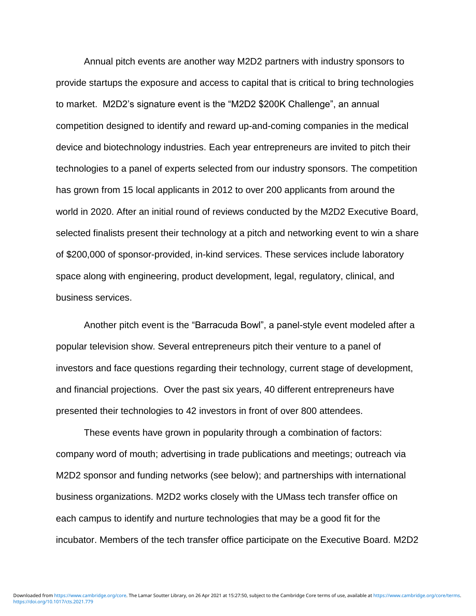Annual pitch events are another way M2D2 partners with industry sponsors to provide startups the exposure and access to capital that is critical to bring technologies to market. M2D2's signature event is the "M2D2 \$200K Challenge", an annual competition designed to identify and reward up-and-coming companies in the medical device and biotechnology industries. Each year entrepreneurs are invited to pitch their technologies to a panel of experts selected from our industry sponsors. The competition has grown from 15 local applicants in 2012 to over 200 applicants from around the world in 2020. After an initial round of reviews conducted by the M2D2 Executive Board, selected finalists present their technology at a pitch and networking event to win a share of \$200,000 of sponsor-provided, in-kind services. These services include laboratory space along with engineering, product development, legal, regulatory, clinical, and business services.

Another pitch event is the "Barracuda Bowl", a panel-style event modeled after a popular television show. Several entrepreneurs pitch their venture to a panel of investors and face questions regarding their technology, current stage of development, and financial projections. Over the past six years, 40 different entrepreneurs have presented their technologies to 42 investors in front of over 800 attendees.

These events have grown in popularity through a combination of factors: company word of mouth; advertising in trade publications and meetings; outreach via M2D2 sponsor and funding networks (see below); and partnerships with international business organizations. M2D2 works closely with the UMass tech transfer office on each campus to identify and nurture technologies that may be a good fit for the incubator. Members of the tech transfer office participate on the Executive Board. M2D2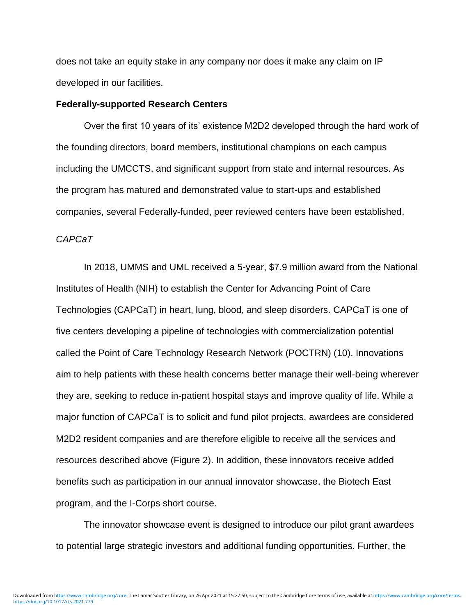does not take an equity stake in any company nor does it make any claim on IP developed in our facilities.

#### **Federally-supported Research Centers**

Over the first 10 years of its' existence M2D2 developed through the hard work of the founding directors, board members, institutional champions on each campus including the UMCCTS, and significant support from state and internal resources. As the program has matured and demonstrated value to start-ups and established companies, several Federally-funded, peer reviewed centers have been established.

#### *CAPCaT*

In 2018, UMMS and UML received a 5-year, \$7.9 million award from the National Institutes of Health (NIH) to establish the Center for Advancing Point of Care Technologies (CAPCaT) in heart, lung, blood, and sleep disorders. CAPCaT is one of five centers developing a pipeline of technologies with commercialization potential called the Point of Care Technology Research Network (POCTRN) (10). Innovations aim to help patients with these health concerns better manage their well-being wherever they are, seeking to reduce in-patient hospital stays and improve quality of life. While a major function of CAPCaT is to solicit and fund pilot projects, awardees are considered M2D2 resident companies and are therefore eligible to receive all the services and resources described above (Figure 2). In addition, these innovators receive added benefits such as participation in our annual innovator showcase, the Biotech East program, and the I-Corps short course.

The innovator showcase event is designed to introduce our pilot grant awardees to potential large strategic investors and additional funding opportunities. Further, the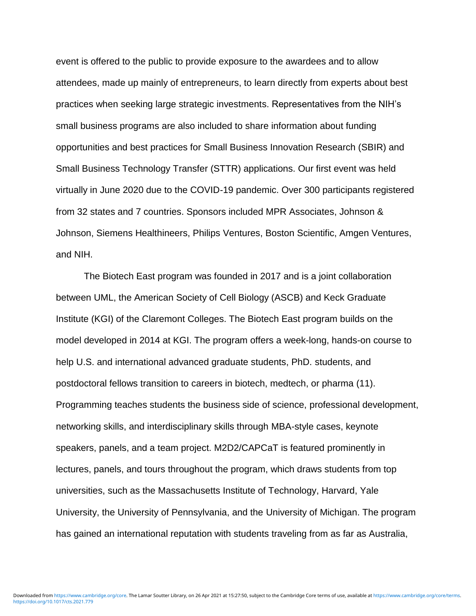event is offered to the public to provide exposure to the awardees and to allow attendees, made up mainly of entrepreneurs, to learn directly from experts about best practices when seeking large strategic investments. Representatives from the NIH's small business programs are also included to share information about funding opportunities and best practices for Small Business Innovation Research (SBIR) and Small Business Technology Transfer (STTR) applications. Our first event was held virtually in June 2020 due to the COVID-19 pandemic. Over 300 participants registered from 32 states and 7 countries. Sponsors included MPR Associates, Johnson & Johnson, Siemens Healthineers, Philips Ventures, Boston Scientific, Amgen Ventures, and NIH.

The Biotech East program was founded in 2017 and is a joint collaboration between UML, the American Society of Cell Biology (ASCB) and Keck Graduate Institute (KGI) of the Claremont Colleges. The Biotech East program builds on the model developed in 2014 at KGI. The program offers a week-long, hands-on course to help U.S. and international advanced graduate students, PhD. students, and postdoctoral fellows transition to careers in biotech, medtech, or pharma (11). Programming teaches students the business side of science, professional development, networking skills, and interdisciplinary skills through MBA-style cases, keynote speakers, panels, and a team project. M2D2/CAPCaT is featured prominently in lectures, panels, and tours throughout the program, which draws students from top universities, such as the Massachusetts Institute of Technology, Harvard, Yale University, the University of Pennsylvania, and the University of Michigan. The program has gained an international reputation with students traveling from as far as Australia,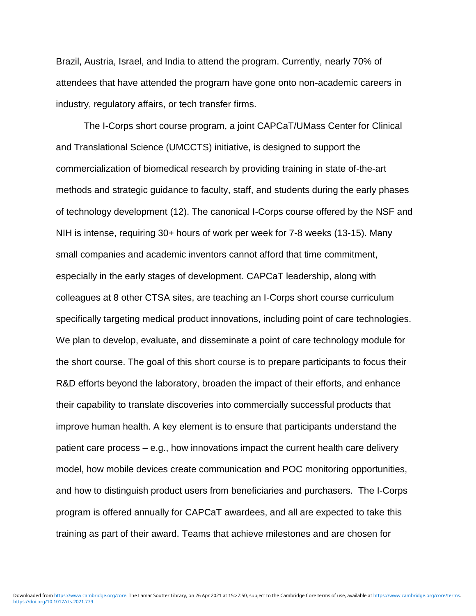Brazil, Austria, Israel, and India to attend the program. Currently, nearly 70% of attendees that have attended the program have gone onto non-academic careers in industry, regulatory affairs, or tech transfer firms.

The I-Corps short course program, a joint CAPCaT/UMass Center for Clinical and Translational Science (UMCCTS) initiative, is designed to support the commercialization of biomedical research by providing training in state of-the-art methods and strategic guidance to faculty, staff, and students during the early phases of technology development (12). The canonical I-Corps course offered by the NSF and NIH is intense, requiring 30+ hours of work per week for 7-8 weeks (13-15). Many small companies and academic inventors cannot afford that time commitment, especially in the early stages of development. CAPCaT leadership, along with colleagues at 8 other CTSA sites, are teaching an I-Corps short course curriculum specifically targeting medical product innovations, including point of care technologies. We plan to develop, evaluate, and disseminate a point of care technology module for the short course. The goal of this short course is to prepare participants to focus their R&D efforts beyond the laboratory, broaden the impact of their efforts, and enhance their capability to translate discoveries into commercially successful products that improve human health. A key element is to ensure that participants understand the patient care process – e.g., how innovations impact the current health care delivery model, how mobile devices create communication and POC monitoring opportunities, and how to distinguish product users from beneficiaries and purchasers. The I-Corps program is offered annually for CAPCaT awardees, and all are expected to take this training as part of their award. Teams that achieve milestones and are chosen for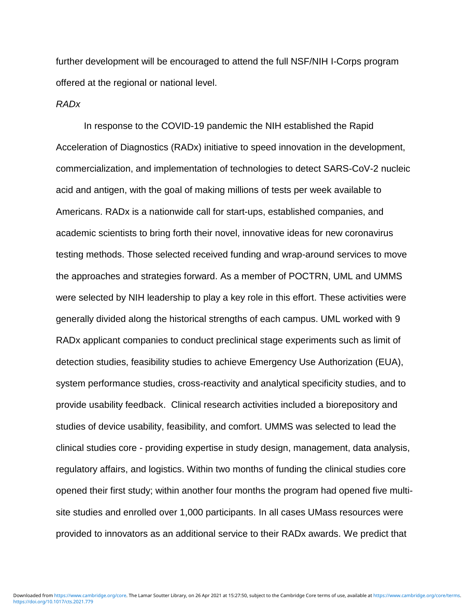further development will be encouraged to attend the full NSF/NIH I-Corps program offered at the regional or national level.

#### *RADx*

In response to the COVID-19 pandemic the NIH established the Rapid Acceleration of Diagnostics (RADx) initiative to speed innovation in the development, commercialization, and implementation of technologies to detect SARS-CoV-2 nucleic acid and antigen, with the goal of making millions of tests per week available to Americans. RADx is a nationwide call for start-ups, established companies, and academic scientists to bring forth their novel, innovative ideas for new coronavirus testing methods. Those selected received funding and wrap-around services to move the approaches and strategies forward. As a member of POCTRN, UML and UMMS were selected by NIH leadership to play a key role in this effort. These activities were generally divided along the historical strengths of each campus. UML worked with 9 RADx applicant companies to conduct preclinical stage experiments such as limit of detection studies, feasibility studies to achieve Emergency Use Authorization (EUA), system performance studies, cross-reactivity and analytical specificity studies, and to provide usability feedback. Clinical research activities included a biorepository and studies of device usability, feasibility, and comfort. UMMS was selected to lead the clinical studies core - providing expertise in study design, management, data analysis, regulatory affairs, and logistics. Within two months of funding the clinical studies core opened their first study; within another four months the program had opened five multisite studies and enrolled over 1,000 participants. In all cases UMass resources were provided to innovators as an additional service to their RADx awards. We predict that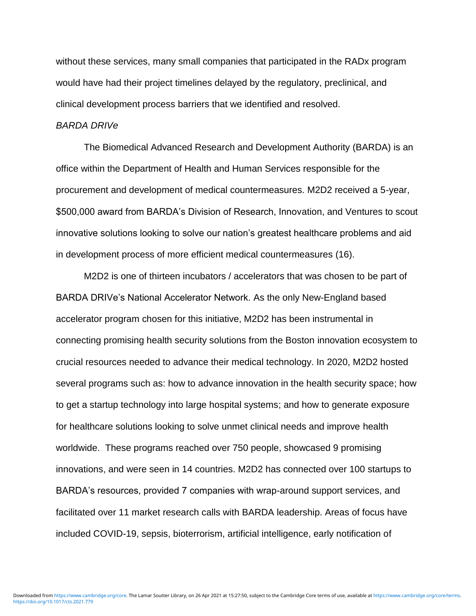without these services, many small companies that participated in the RADx program would have had their project timelines delayed by the regulatory, preclinical, and clinical development process barriers that we identified and resolved.

#### *BARDA DRIVe*

The Biomedical Advanced Research and Development Authority (BARDA) is an office within the Department of Health and Human Services responsible for the procurement and development of medical countermeasures. M2D2 received a 5-year, \$500,000 award from BARDA's Division of Research, Innovation, and Ventures to scout innovative solutions looking to solve our nation's greatest healthcare problems and aid in development process of more efficient medical countermeasures (16).

M2D2 is one of thirteen incubators / accelerators that was chosen to be part of BARDA DRIVe's National Accelerator Network. As the only New-England based accelerator program chosen for this initiative, M2D2 has been instrumental in connecting promising health security solutions from the Boston innovation ecosystem to crucial resources needed to advance their medical technology. In 2020, M2D2 hosted several programs such as: how to advance innovation in the health security space; how to get a startup technology into large hospital systems; and how to generate exposure for healthcare solutions looking to solve unmet clinical needs and improve health worldwide. These programs reached over 750 people, showcased 9 promising innovations, and were seen in 14 countries. M2D2 has connected over 100 startups to BARDA's resources, provided 7 companies with wrap-around support services, and facilitated over 11 market research calls with BARDA leadership. Areas of focus have included COVID-19, sepsis, bioterrorism, artificial intelligence, early notification of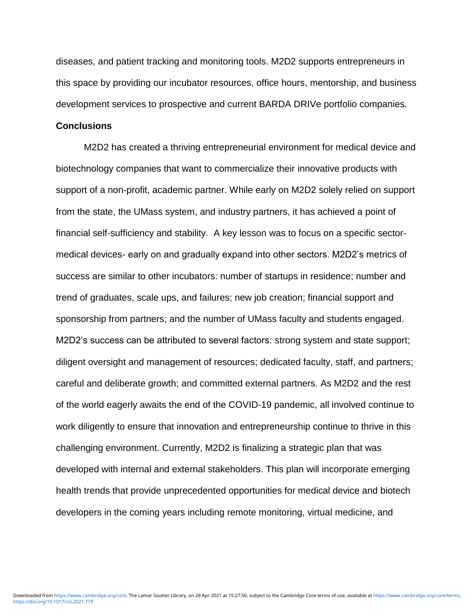diseases, and patient tracking and monitoring tools. M2D2 supports entrepreneurs in this space by providing our incubator resources, office hours, mentorship, and business development services to prospective and current BARDA DRIVe portfolio companies.

#### **Conclusions**

M2D2 has created a thriving entrepreneurial environment for medical device and biotechnology companies that want to commercialize their innovative products with support of a non-profit, academic partner. While early on M2D2 solely relied on support from the state, the UMass system, and industry partners, it has achieved a point of financial self-sufficiency and stability. A key lesson was to focus on a specific sectormedical devices- early on and gradually expand into other sectors. M2D2's metrics of success are similar to other incubators: number of startups in residence; number and trend of graduates, scale ups, and failures; new job creation; financial support and sponsorship from partners; and the number of UMass faculty and students engaged. M2D2's success can be attributed to several factors: strong system and state support; diligent oversight and management of resources; dedicated faculty, staff, and partners; careful and deliberate growth; and committed external partners. As M2D2 and the rest of the world eagerly awaits the end of the COVID-19 pandemic, all involved continue to work diligently to ensure that innovation and entrepreneurship continue to thrive in this challenging environment. Currently, M2D2 is finalizing a strategic plan that was developed with internal and external stakeholders. This plan will incorporate emerging health trends that provide unprecedented opportunities for medical device and biotech developers in the coming years including remote monitoring, virtual medicine, and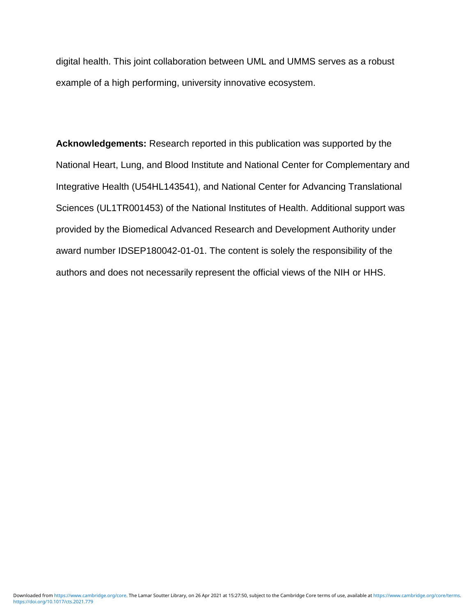digital health. This joint collaboration between UML and UMMS serves as a robust example of a high performing, university innovative ecosystem.

**Acknowledgements:** Research reported in this publication was supported by the National Heart, Lung, and Blood Institute and National Center for Complementary and Integrative Health (U54HL143541), and National Center for Advancing Translational Sciences (UL1TR001453) of the National Institutes of Health. Additional support was provided by the Biomedical Advanced Research and Development Authority under award number IDSEP180042-01-01. The content is solely the responsibility of the authors and does not necessarily represent the official views of the NIH or HHS.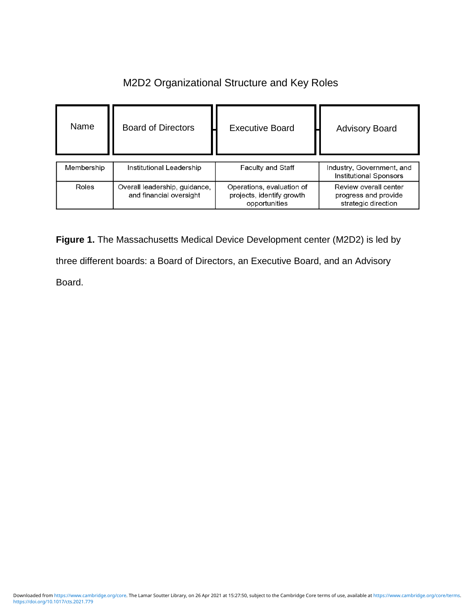## M2D2 Organizational Structure and Key Roles

| Name       | <b>Board of Directors</b>                                | <b>Executive Board</b>                                                  | <b>Advisory Board</b>                                                |
|------------|----------------------------------------------------------|-------------------------------------------------------------------------|----------------------------------------------------------------------|
| Membership | Institutional Leadership                                 | Faculty and Staff                                                       | Industry, Government, and<br>Institutional Sponsors                  |
| Roles      | Overall leadership, guidance,<br>and financial oversight | Operations, evaluation of<br>projects, identify growth<br>opportunities | Review overall center<br>progress and provide<br>strategic direction |

**Figure 1.** The Massachusetts Medical Device Development center (M2D2) is led by three different boards: a Board of Directors, an Executive Board, and an Advisory Board.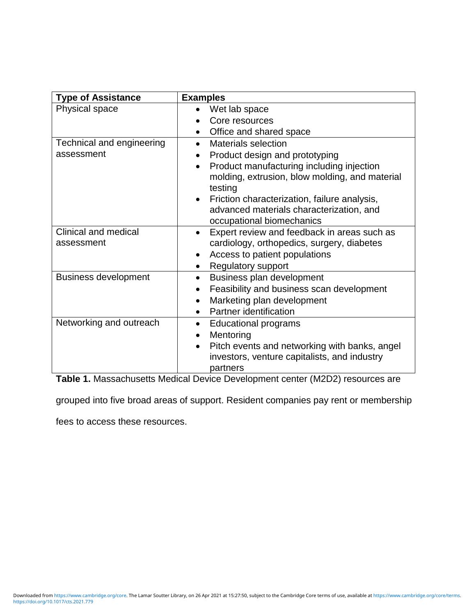| <b>Type of Assistance</b>   | <b>Examples</b>                                          |  |  |
|-----------------------------|----------------------------------------------------------|--|--|
| Physical space              | Wet lab space                                            |  |  |
|                             | Core resources                                           |  |  |
|                             | Office and shared space                                  |  |  |
| Technical and engineering   | Materials selection                                      |  |  |
| assessment                  | Product design and prototyping                           |  |  |
|                             | Product manufacturing including injection                |  |  |
|                             | molding, extrusion, blow molding, and material           |  |  |
|                             | testing                                                  |  |  |
|                             | Friction characterization, failure analysis,             |  |  |
|                             | advanced materials characterization, and                 |  |  |
|                             | occupational biomechanics                                |  |  |
| Clinical and medical        | Expert review and feedback in areas such as<br>$\bullet$ |  |  |
| assessment                  | cardiology, orthopedics, surgery, diabetes               |  |  |
|                             | Access to patient populations                            |  |  |
|                             | <b>Regulatory support</b>                                |  |  |
| <b>Business development</b> | Business plan development<br>$\bullet$                   |  |  |
|                             | Feasibility and business scan development                |  |  |
|                             | Marketing plan development<br>$\bullet$                  |  |  |
|                             | Partner identification                                   |  |  |
| Networking and outreach     | <b>Educational programs</b><br>$\bullet$                 |  |  |
|                             | Mentoring                                                |  |  |
|                             | Pitch events and networking with banks, angel            |  |  |
|                             | investors, venture capitalists, and industry             |  |  |
|                             | partners                                                 |  |  |

**Table 1.** Massachusetts Medical Device Development center (M2D2) resources are

grouped into five broad areas of support. Resident companies pay rent or membership

fees to access these resources.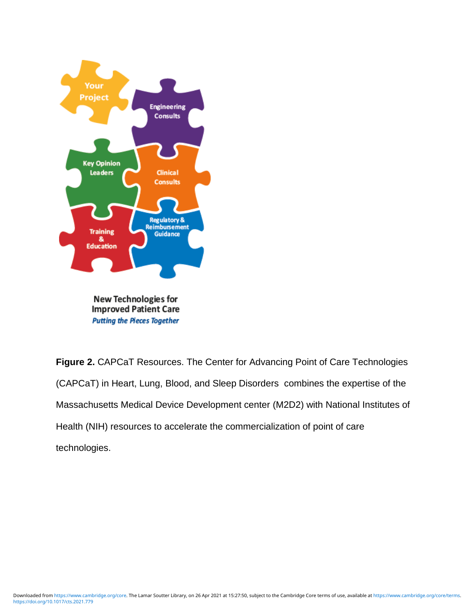

**Putting the Pieces Together** 

**Figure 2.** CAPCaT Resources. The Center for Advancing Point of Care Technologies (CAPCaT) in Heart, Lung, Blood, and Sleep Disorders combines the expertise of the Massachusetts Medical Device Development center (M2D2) with National Institutes of Health (NIH) resources to accelerate the commercialization of point of care technologies.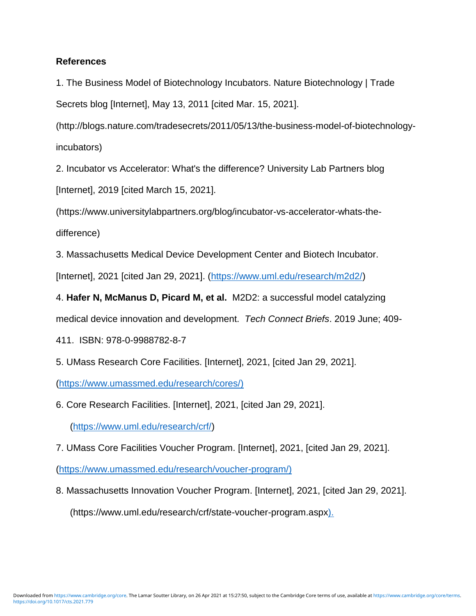#### **References**

1. The Business Model of Biotechnology Incubators. Nature Biotechnology | Trade Secrets blog [Internet], May 13, 2011 [cited Mar. 15, 2021].

(http://blogs.nature.com/tradesecrets/2011/05/13/the-business-model-of-biotechnologyincubators)

2. Incubator vs Accelerator: What's the difference? University Lab Partners blog [Internet], 2019 [cited March 15, 2021].

(https://www.universitylabpartners.org/blog/incubator-vs-accelerator-whats-thedifference)

3. Massachusetts Medical Device Development Center and Biotech Incubator.

[Internet], 2021 [cited Jan 29, 2021]. [\(https://www.uml.edu/research/m2d2/\)](https://www.uml.edu/research/m2d2/)

4. **Hafer N, McManus D, Picard M, et al.** M2D2: a successful model catalyzing medical device innovation and development. *Tech Connect Briefs*. 2019 June; 409-

411. ISBN: 978-0-9988782-8-7

5. UMass Research Core Facilities. [Internet], 2021, [cited Jan 29, 2021].

[\(https://www.umassmed.edu/research/cores/\)](https://www.umassmed.edu/research/cores/)

6. Core Research Facilities. [Internet], 2021, [cited Jan 29, 2021].

[\(https://www.uml.edu/research/crf/\)](https://www.uml.edu/research/crf/)

7. UMass Core Facilities Voucher Program. [Internet], 2021, [cited Jan 29, 2021].

[\(https://www.umassmed.edu/research/voucher-program/\)](https://www.umassmed.edu/research/voucher-program/)

8. Massachusetts Innovation Voucher Program. [Internet], 2021, [cited Jan 29, 2021]. (https://www.uml.edu/research/crf/state-voucher-program.aspx).